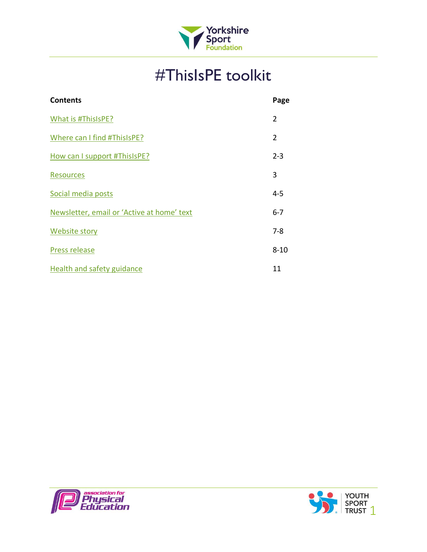

# #ThisIsPE toolkit

| <b>Contents</b>                            | Page           |
|--------------------------------------------|----------------|
| What is #ThisIsPE?                         | $\overline{2}$ |
| Where can I find #ThisIsPE?                | $\overline{2}$ |
| How can I support #ThisIsPE?               | $2 - 3$        |
| <b>Resources</b>                           | 3              |
| Social media posts                         | $4 - 5$        |
| Newsletter, email or 'Active at home' text | $6 - 7$        |
| <b>Website story</b>                       | $7-8$          |
| Press release                              | $8 - 10$       |
| Health and safety guidance                 | 11             |
|                                            |                |



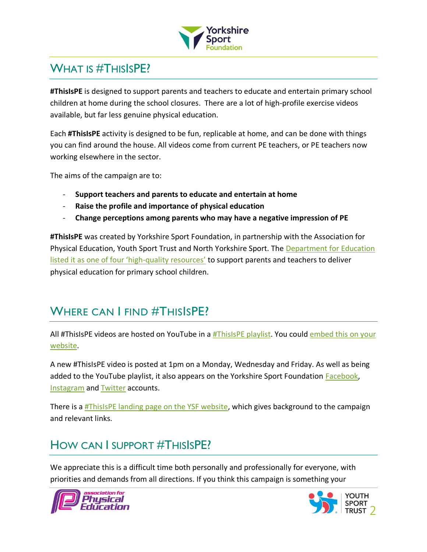

## <span id="page-1-0"></span>WHAT IS #THISISPE?

**#ThisIsPE** is designed to support parents and teachers to educate and entertain primary school children at home during the school closures. There are a lot of high-profile exercise videos available, but far less genuine physical education.

Each **#ThisIsPE** activity is designed to be fun, replicable at home, and can be done with things you can find around the house. All videos come from current PE teachers, or PE teachers now working elsewhere in the sector.

The aims of the campaign are to:

- **Support teachers and parents to educate and entertain at home**
- **Raise the profile and importance of physical education**
- **Change perceptions among parents who may have a negative impression of PE**

**#ThisIsPE** was created by Yorkshire Sport Foundation, in partnership with the Association for Physical Education, Youth Sport Trust and North Yorkshire Sport. The [Department for Education](https://www.gov.uk/government/publications/coronavirus-covid-19-online-education-resources/coronavirus-covid-19-list-of-online-education-resources-for-home-education)  [listed it as one of four 'high](https://www.gov.uk/government/publications/coronavirus-covid-19-online-education-resources/coronavirus-covid-19-list-of-online-education-resources-for-home-education)-quality resources' to support parents and teachers to deliver physical education for primary school children.

## WHERE CAN I FIND #THISISPE?

All #ThisIsPE videos are hosted on YouTube in a [#ThisIsPE playlist.](https://www.youtube.com/watch?v=ZtASj5d2Ryw&list=PLYGRaluWWTojV3An2WEgsQ4qGFy_91jDL) You could embed this on your [website.](https://support.google.com/youtube/answer/171780?hl=en-GB)

A new #ThisIsPE video is posted at 1pm on a Monday, Wednesday and Friday. As well as being added to the YouTube playlist, it also appears on the Yorkshire Sport Foundation **Facebook**, [Instagram](https://www.instagram.com/yorkshiresport/) an[d Twitter](https://twitter.com/YorkshireSport) accounts.

There is a **#ThisIsPE landing page on the YSF website**, which gives background to the campaign and relevant links.

## <span id="page-1-1"></span>HOW CAN I SUPPORT #THISISPE?

We appreciate this is a difficult time both personally and professionally for everyone, with priorities and demands from all directions. If you think this campaign is something your



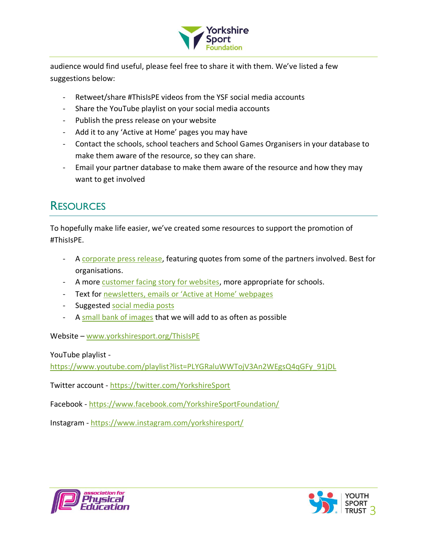

audience would find useful, please feel free to share it with them. We've listed a few suggestions below:

- Retweet/share #ThisIsPE videos from the YSF social media accounts
- Share the YouTube playlist on your social media accounts
- Publish the press release on your website
- Add it to any 'Active at Home' pages you may have
- Contact the schools, school teachers and School Games Organisers in your database to make them aware of the resource, so they can share.
- Email your partner database to make them aware of the resource and how they may want to get involved

## <span id="page-2-0"></span>**RESOURCES**

To hopefully make life easier, we've created some resources to support the promotion of #ThisIsPE.

- A [corporate press release,](#page-7-0) featuring quotes from some of the partners involved. Best for organisations.
- A more [customer facing story for websites,](#page-6-0) more appropriate for schools.
- Text for [newsletters, emails](#page-5-0) or 'Active at Home' webpages
- Suggested [social media posts](#page-3-0)
- A [small bank of images](https://drive.google.com/open?id=1qZ7_xVID6cSUBNfYtnxo1ankbQG8WQMa) that we will add to as often as possible

Website – [www.yorkshiresport.org/ThisIsPE](http://www.yorkshiresport.org/ThisIsPE)

YouTube playlist -

[https://www.youtube.com/playlist?list=PLYGRaluWWTojV3An2WEgsQ4qGFy\\_91jDL](https://www.youtube.com/playlist?list=PLYGRaluWWTojV3An2WEgsQ4qGFy_91jDL)

Twitter account - <https://twitter.com/YorkshireSport>

Facebook - <https://www.facebook.com/YorkshireSportFoundation/>

Instagram - <https://www.instagram.com/yorkshiresport/>



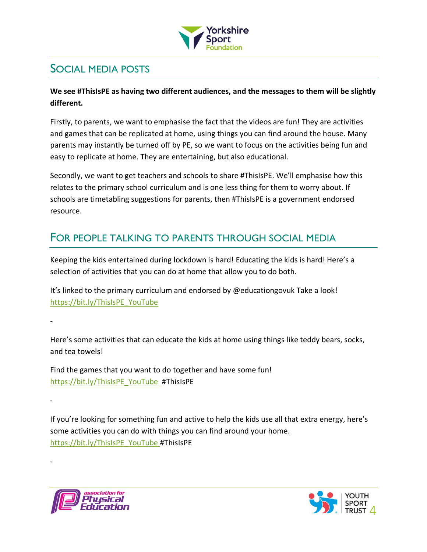

## <span id="page-3-0"></span>SOCIAL MEDIA POSTS

### **We see #ThisIsPE as having two different audiences, and the messages to them will be slightly different.**

Firstly, to parents, we want to emphasise the fact that the videos are fun! They are activities and games that can be replicated at home, using things you can find around the house. Many parents may instantly be turned off by PE, so we want to focus on the activities being fun and easy to replicate at home. They are entertaining, but also educational.

Secondly, we want to get teachers and schools to share #ThisIsPE. We'll emphasise how this relates to the primary school curriculum and is one less thing for them to worry about. If schools are timetabling suggestions for parents, then #ThisIsPE is a government endorsed resource.

### FOR PEOPLE TALKING TO PARENTS THROUGH SOCIAL MEDIA

Keeping the kids entertained during lockdown is hard! Educating the kids is hard! Here's a selection of activities that you can do at home that allow you to do both.

It's linked to the primary curriculum and endorsed by @educationgovuk Take a look! [https://bit.ly/ThisIsPE\\_YouTube](https://bit.ly/ThisIsPE_YouTube)

Here's some activities that can educate the kids at home using things like teddy bears, socks, and tea towels!

Find the games that you want to do together and have some fun! [https://bit.ly/ThisIsPE\\_YouTube](https://bit.ly/ThisIsPE_YouTube) #ThisIsPE

If you're looking for something fun and active to help the kids use all that extra energy, here's some activities you can do with things you can find around your home. [https://bit.ly/ThisIsPE\\_YouTube](https://bit.ly/ThisIsPE_YouTube) #ThisIsPE



-

-

-

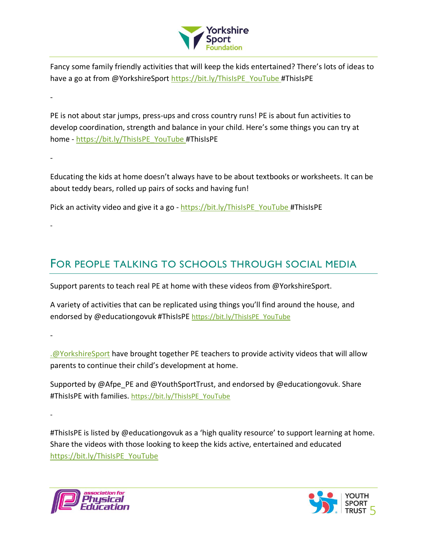

Fancy some family friendly activities that will keep the kids entertained? There's lots of ideas to have a go at from @YorkshireSport [https://bit.ly/ThisIsPE\\_YouTube](https://bit.ly/ThisIsPE_YouTube) #ThisIsPE

PE is not about star jumps, press-ups and cross country runs! PE is about fun activities to develop coordination, strength and balance in your child. Here's some things you can try at home - [https://bit.ly/ThisIsPE\\_YouTube](https://bit.ly/ThisIsPE_YouTube) #ThisIsPE

Educating the kids at home doesn't always have to be about textbooks or worksheets. It can be about teddy bears, rolled up pairs of socks and having fun!

Pick an activity video and give it a go - [https://bit.ly/ThisIsPE\\_YouTube](https://bit.ly/ThisIsPE_YouTube) #ThisIsPE

### FOR PEOPLE TALKING TO SCHOOLS THROUGH SOCIAL MEDIA

Support parents to teach real PE at home with these videos from @YorkshireSport.

A variety of activities that can be replicated using things you'll find around the house, and endorsed by @educationgovuk #ThisIsPE [https://bit.ly/ThisIsPE\\_YouTube](https://bit.ly/ThisIsPE_YouTube)

-

-

-

-

-

[.@YorkshireSport](mailto:.@YorkshireSport) have brought together PE teachers to provide activity videos that will allow parents to continue their child's development at home.

Supported by @Afpe\_PE and @YouthSportTrust, and endorsed by @educationgovuk. Share #ThisIsPE with families. [https://bit.ly/ThisIsPE\\_YouTube](https://bit.ly/ThisIsPE_YouTube)

#ThisIsPE is listed by @educationgovuk as a 'high quality resource' to support learning at home. Share the videos with those looking to keep the kids active, entertained and educated [https://bit.ly/ThisIsPE\\_YouTube](https://bit.ly/ThisIsPE_YouTube)



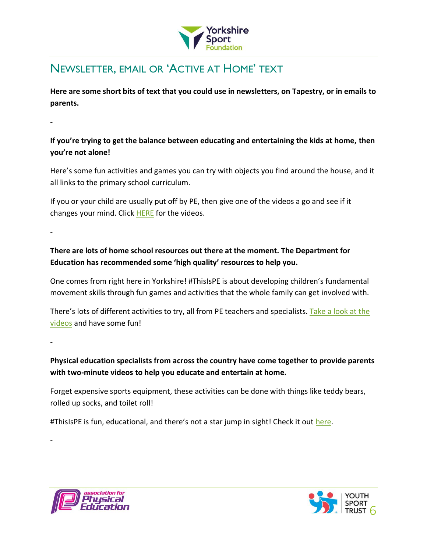

## <span id="page-5-0"></span>NEWSLETTER, EMAIL OR 'ACTIVE AT HOME' TEXT

**Here are some short bits of text that you could use in newsletters, on Tapestry, or in emails to parents.** 

**-**

**If you're trying to get the balance between educating and entertaining the kids at home, then you're not alone!**

Here's some fun activities and games you can try with objects you find around the house, and it all links to the primary school curriculum.

If you or your child are usually put off by PE, then give one of the videos a go and see if it changes your mind. Click [HERE](https://bit.ly/ThisIsPE_YouTube) for the videos.

-

**There are lots of home school resources out there at the moment. The Department for Education has recommended some 'high quality' resources to help you.**

One comes from right here in Yorkshire! #ThisIsPE is about developing children's fundamental movement skills through fun games and activities that the whole family can get involved with.

There's lots of different activities to try, all from PE teachers and specialists. Take a look at the videos and have some fun!

-

-

**Physical education specialists from across the country have come together to provide parents with two-minute videos to help you educate and entertain at home.**

Forget expensive sports equipment, these activities can be done with things like teddy bears, rolled up socks, and toilet roll!

#ThisIsPE is fun, educational, and there's not a star jump in sight! Check it out [here.](https://bit.ly/ThisIsPE_YouTube)



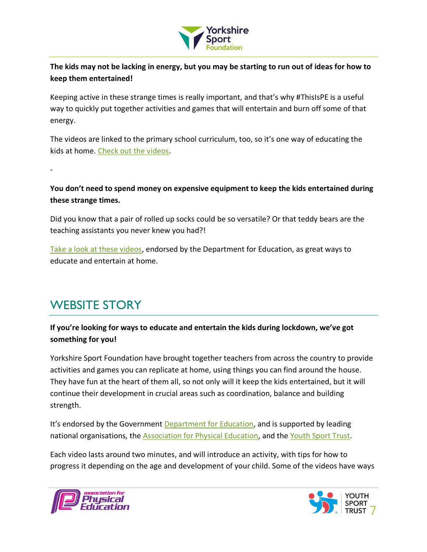

**The kids may not be lacking in energy, but you may be starting to run out of ideas for how to keep them entertained!**

Keeping active in these strange times is really important, and that's why #ThisIsPE is a useful way to quickly put together activities and games that will entertain and burn off some of that energy.

The videos are linked to the primary school curriculum, too, so it's one way of educating the kids at home. [Check out the videos.](https://bit.ly/ThisIsPE_YouTube)

### **You don't need to spend money on expensive equipment to keep the kids entertained during these strange times.**

Did you know that a pair of rolled up socks could be so versatile? Or that teddy bears are the teaching assistants you never knew you had?!

[Take a look at these videos,](https://bit.ly/ThisIsPE_YouTube) endorsed by the Department for Education, as great ways to educate and entertain at home.

## <span id="page-6-0"></span>WEBSITE STORY

-

### **If you're looking for ways to educate and entertain the kids during lockdown, we've got something for you!**

Yorkshire Sport Foundation have brought together teachers from across the country to provide activities and games you can replicate at home, using things you can find around the house. They have fun at the heart of them all, so not only will it keep the kids entertained, but it will continue their development in crucial areas such as coordination, balance and building strength.

It's endorsed by the Government [Department for Education,](https://www.gov.uk/government/publications/coronavirus-covid-19-online-education-resources/coronavirus-covid-19-list-of-online-education-resources-for-home-education#physical-education-pe-and-physical-activity) and is supported by leading national organisations, the **Association for Physical Education**, and the [Youth Sport Trust.](https://www.youthsporttrust.org/)

Each video lasts around two minutes, and will introduce an activity, with tips for how to progress it depending on the age and development of your child. Some of the videos have ways



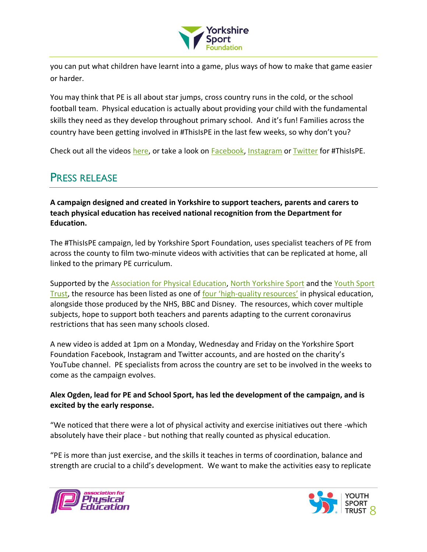

you can put what children have learnt into a game, plus ways of how to make that game easier or harder.

You may think that PE is all about star jumps, cross country runs in the cold, or the school football team. Physical education is actually about providing your child with the fundamental skills they need as they develop throughout primary school. And it's fun! Families across the country have been getting involved in #ThisIsPE in the last few weeks, so why don't you?

Check out all the videos [here,](https://www.youtube.com/playlist?list=PLYGRaluWWTojV3An2WEgsQ4qGFy_91jDL) or take a look on [Facebook,](https://www.facebook.com/watch/YorkshireSportFoundation/649425762508640/) [Instagram](https://www.instagram.com/yorkshiresport/channel/) or [Twitter](http://www.twitter.com/YorkshireSport) for #ThisIsPE.

### <span id="page-7-0"></span>PRESS RELEASE

**A campaign designed and created in Yorkshire to support teachers, parents and carers to teach physical education has received national recognition from the Department for Education.**

The #ThisIsPE campaign, led by Yorkshire Sport Foundation, uses specialist teachers of PE from across the county to film two-minute videos with activities that can be replicated at home, all linked to the primary PE curriculum.

Supported by the [Association for Physical Education,](https://www.afpe.org.uk/) [North Yorkshire Sport](https://www.northyorkshiresport.co.uk/) and the Youth Sport [Trust,](https://www.youthsporttrust.org/) the resource has been listed as one of four 'high-[quality resources'](https://www.gov.uk/government/publications/coronavirus-covid-19-online-education-resources/coronavirus-covid-19-list-of-online-education-resources-for-home-education#physical-education-pe-and-physical-activity) in physical education, alongside those produced by the NHS, BBC and Disney. The resources, which cover multiple subjects, hope to support both teachers and parents adapting to the current coronavirus restrictions that has seen many schools closed.

A new video is added at 1pm on a Monday, Wednesday and Friday on the Yorkshire Sport Foundation Facebook, Instagram and Twitter accounts, and are hosted on the charity's YouTube channel. PE specialists from across the country are set to be involved in the weeks to come as the campaign evolves.

### **Alex Ogden, lead for PE and School Sport, has led the development of the campaign, and is excited by the early response.**

"We noticed that there were a lot of physical activity and exercise initiatives out there -which absolutely have their place - but nothing that really counted as physical education.

"PE is more than just exercise, and the skills it teaches in terms of coordination, balance and strength are crucial to a child's development. We want to make the activities easy to replicate



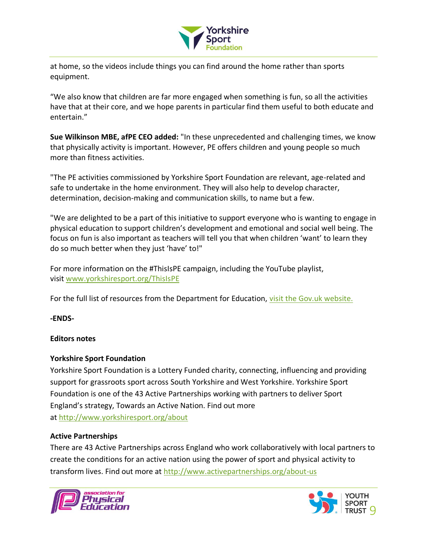

at home, so the videos include things you can find around the home rather than sports equipment.

"We also know that children are far more engaged when something is fun, so all the activities have that at their core, and we hope parents in particular find them useful to both educate and entertain."

**Sue Wilkinson MBE, afPE CEO added:** "In these unprecedented and challenging times, we know that physically activity is important. However, PE offers children and young people so much more than fitness activities.

"The PE activities commissioned by Yorkshire Sport Foundation are relevant, age-related and safe to undertake in the home environment. They will also help to develop character, determination, decision-making and communication skills, to name but a few.

"We are delighted to be a part of this initiative to support everyone who is wanting to engage in physical education to support children's development and emotional and social well being. The focus on fun is also important as teachers will tell you that when children 'want' to learn they do so much better when they just 'have' to!"

For more information on the #ThisIsPE campaign, including the YouTube playlist, visit [www.yorkshiresport.org/ThisIsPE](http://www.yorkshiresport.org/ThisIsPE)

For the full list of resources from the Department for Education, [visit the Gov.uk website.](https://www.gov.uk/government/publications/coronavirus-covid-19-online-education-resources/coronavirus-covid-19-list-of-online-education-resources-for-home-education#physical-education-pe-and-physical-activity)

**-ENDS-**

#### **Editors notes**

#### **Yorkshire Sport Foundation**

Yorkshire Sport Foundation is a Lottery Funded charity, connecting, influencing and providing support for grassroots sport across South Yorkshire and West Yorkshire. Yorkshire Sport Foundation is one of the 43 Active Partnerships working with partners to deliver Sport England's strategy, Towards an Active Nation. Find out more at <http://www.yorkshiresport.org/about>

#### **Active Partnerships**

There are 43 Active Partnerships across England who work collaboratively with local partners to create the conditions for an active nation using the power of sport and physical activity to transform lives. Find out more at <http://www.activepartnerships.org/about-us>



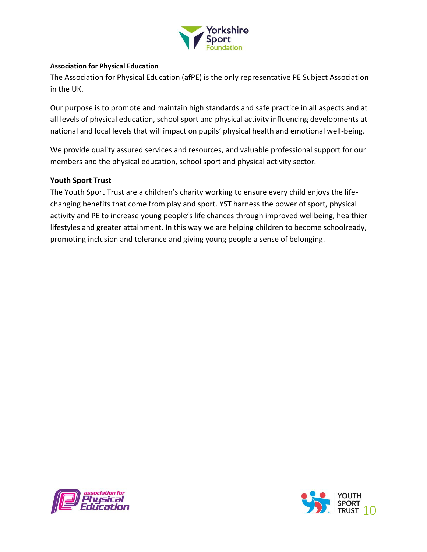

#### **Association for Physical Education**

The Association for Physical Education (afPE) is the only representative PE Subject Association in the UK.

Our purpose is to promote and maintain high standards and safe practice in all aspects and at all levels of physical education, school sport and physical activity influencing developments at national and local levels that will impact on pupils' physical health and emotional well-being.

We provide quality assured services and resources, and valuable professional support for our members and the physical education, school sport and physical activity sector.

#### **Youth Sport Trust**

The Youth Sport Trust are a children's charity working to ensure every child enjoys the lifechanging benefits that come from play and sport. YST harness the power of sport, physical activity and PE to increase young people's life chances through improved wellbeing, healthier lifestyles and greater attainment. In this way we are helping children to become schoolready, promoting inclusion and tolerance and giving young people a sense of belonging.